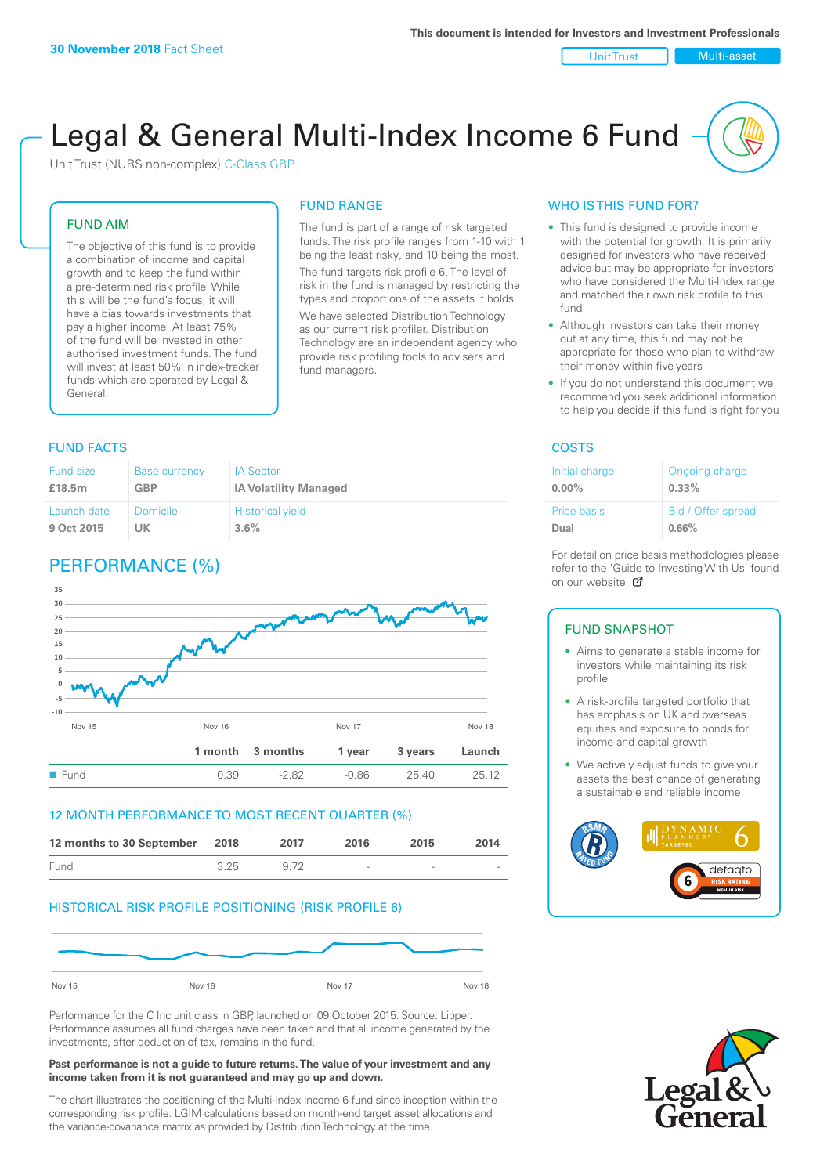#### Unit Trust Nulti-asset

# Legal & General Multi-Index Income 6 Fund

Unit Trust (NURS non-complex) C-Class GBP

## FUND AIM

The objective of this fund is to provide a combination of income and capital growth and to keep the fund within a pre-determined risk profile. While this will be the fund's focus, it will have a bias towards investments that pay a higher income. At least 75% of the fund will be invested in other authorised investment funds. The fund will invest at least 50% in index-tracker funds which are operated by Legal & General.

## FUND RANGE

The fund is part of a range of risk targeted funds. The risk profile ranges from 1-10 with 1 being the least risky, and 10 being the most. The fund targets risk profile 6. The level of risk in the fund is managed by restricting the

types and proportions of the assets it holds. We have selected Distribution Technology as our current risk profiler. Distribution Technology are an independent agency who provide risk profiling tools to advisers and fund managers.

## **FUND FACTS** COSTS

| <b>Fund size</b> | <b>Base currency</b> | <b>IA Sector</b>             |
|------------------|----------------------|------------------------------|
| £18.5m           | GBP                  | <b>IA Volatility Managed</b> |
| Launch date      | Domicile             | <b>Historical yield</b>      |
| 9 Oct 2015       | UK                   | $3.6\%$                      |

## PERFORMANCE (%)



## 12 MONTH PERFORMANCE TO MOST RECENT QUARTER (%)



## HISTORICAL RISK PROFILE POSITIONING (RISK PROFILE 6)



Performance for the C Inc unit class in GBP, launched on 09 October 2015. Source: Lipper. Performance assumes all fund charges have been taken and that all income generated by the investments, after deduction of tax, remains in the fund.

#### **Past performance is not a guide to future returns. The value of your investment and any income taken from it is not guaranteed and may go up and down.**

The chart illustrates the positioning of the Multi-Index Income 6 fund since inception within the corresponding risk profile. LGIM calculations based on month-end target asset allocations and the variance-covariance matrix as provided by Distribution Technology at the time.

## WHO IS THIS FUND FOR?

- This fund is designed to provide income with the potential for growth. It is primarily designed for investors who have received advice but may be appropriate for investors who have considered the Multi-Index range and matched their own risk profile to this fund
- Although investors can take their money out at any time, this fund may not be appropriate for those who plan to withdraw their money within five years
- If you do not understand this document we recommend you seek additional information to help you decide if this fund is right for you

| Initial charge | Ongoing charge     |
|----------------|--------------------|
| $0.00\%$       | $0.33\%$           |
| Price basis    | Bid / Offer spread |
| Dual           | 0.66%              |

For detail on price basis methodologies please refer to the 'Guide to Investing With Us' found on our website. Ø

#### FUND SNAPSHOT

- Aims to generate a stable income for investors while maintaining its risk profile
- A risk-profile targeted portfolio that has emphasis on UK and overseas equities and exposure to bonds for income and capital growth
- We actively adjust funds to give your assets the best chance of generating a sustainable and reliable income



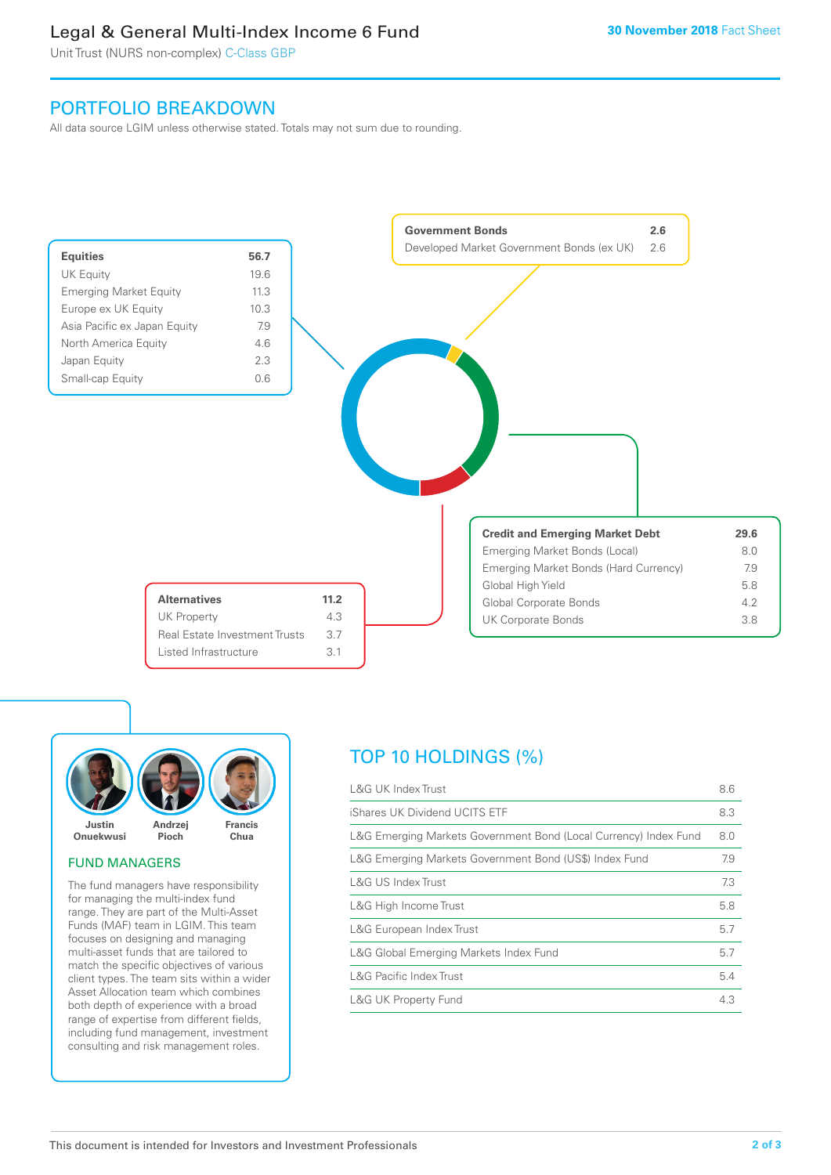## Legal & General Multi-Index Income 6 Fund

Unit Trust (NURS non-complex) C-Class GBP

## PORTFOLIO BREAKDOWN

All data source LGIM unless otherwise stated. Totals may not sum due to rounding.





## FUND MANAGERS

The fund managers have responsibility for managing the multi-index fund range. They are part of the Multi-Asset Funds (MAF) team in LGIM. This team focuses on designing and managing multi-asset funds that are tailored to match the specific objectives of various client types. The team sits within a wider Asset Allocation team which combines both depth of experience with a broad range of expertise from different fields, including fund management, investment consulting and risk management roles.

## TOP 10 HOLDINGS (%)

| <b>L&amp;G UK Index Trust</b>                                    | 8.6 |
|------------------------------------------------------------------|-----|
| iShares UK Dividend UCITS ETF                                    | 8.3 |
| L&G Emerging Markets Government Bond (Local Currency) Index Fund | 8.0 |
| L&G Emerging Markets Government Bond (US\$) Index Fund           | 7.9 |
| L&G US Index Trust                                               | 7.3 |
| L&G High Income Trust                                            | 5.8 |
| L&G European Index Trust                                         | 5.7 |
| L&G Global Emerging Markets Index Fund                           | 5.7 |
| <b>L&amp;G Pacific Index Trust</b>                               | 5.4 |
| <b>L&amp;G UK Property Fund</b>                                  | 4.3 |